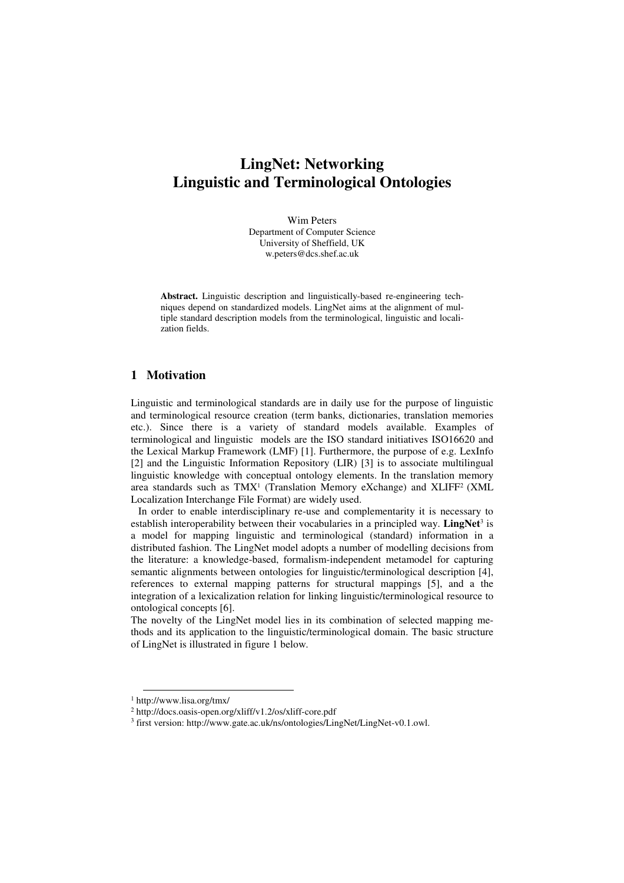## **LingNet: Networking Linguistic and Terminological Ontologies**

Wim Peters Department of Computer Science University of Sheffield, UK w.peters@dcs.shef.ac.uk

**Abstract.** Linguistic description and linguistically-based re-engineering techniques depend on standardized models. LingNet aims at the alignment of multiple standard description models from the terminological, linguistic and localization fields.

## **1 Motivation**

Linguistic and terminological standards are in daily use for the purpose of linguistic and terminological resource creation (term banks, dictionaries, translation memories etc.). Since there is a variety of standard models available. Examples of terminological and linguistic models are the ISO standard initiatives ISO16620 and the Lexical Markup Framework (LMF) [1]. Furthermore, the purpose of e.g. LexInfo [2] and the Linguistic Information Repository (LIR) [3] is to associate multilingual linguistic knowledge with conceptual ontology elements. In the translation memory area standards such as TMX<sup>1</sup> (Translation Memory eXchange) and XLIFF<sup>2</sup> (XML Localization Interchange File Format) are widely used.

In order to enable interdisciplinary re-use and complementarity it is necessary to establish interoperability between their vocabularies in a principled way. **LingNet**<sup>3</sup> is a model for mapping linguistic and terminological (standard) information in a distributed fashion. The LingNet model adopts a number of modelling decisions from the literature: a knowledge-based, formalism-independent metamodel for capturing semantic alignments between ontologies for linguistic/terminological description [4], references to external mapping patterns for structural mappings [5], and a the integration of a lexicalization relation for linking linguistic/terminological resource to ontological concepts [6].

The novelty of the LingNet model lies in its combination of selected mapping methods and its application to the linguistic/terminological domain. The basic structure of LingNet is illustrated in figure 1 below.

 $\overline{a}$ 

<sup>1</sup> http://www.lisa.org/tmx/

<sup>2</sup> http://docs.oasis-open.org/xliff/v1.2/os/xliff-core.pdf

<sup>&</sup>lt;sup>3</sup> first version: http://www.gate.ac.uk/ns/ontologies/LingNet/LingNet-v0.1.owl.